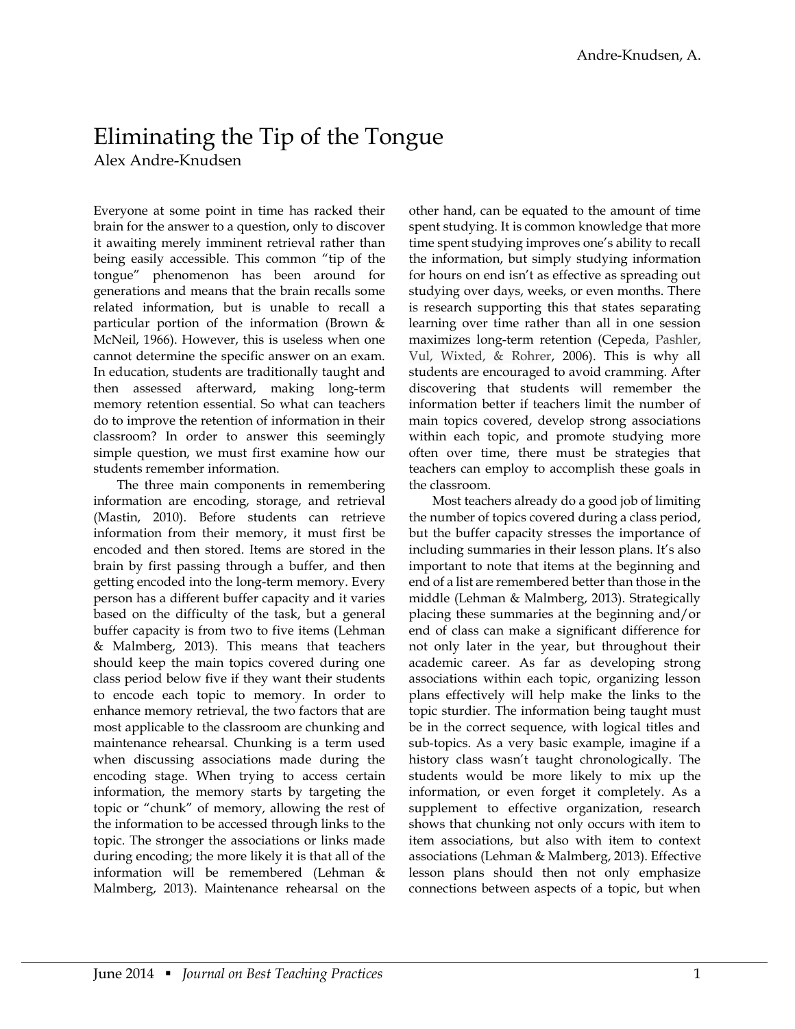## Eliminating the Tip of the Tongue Alex Andre-Knudsen

Everyone at some point in time has racked their brain for the answer to a question, only to discover it awaiting merely imminent retrieval rather than being easily accessible. This common "tip of the tongue" phenomenon has been around for generations and means that the brain recalls some related information, but is unable to recall a particular portion of the information (Brown & McNeil, 1966). However, this is useless when one cannot determine the specific answer on an exam. In education, students are traditionally taught and then assessed afterward, making long-term memory retention essential. So what can teachers do to improve the retention of information in their classroom? In order to answer this seemingly simple question, we must first examine how our students remember information.

The three main components in remembering information are encoding, storage, and retrieval (Mastin, 2010). Before students can retrieve information from their memory, it must first be encoded and then stored. Items are stored in the brain by first passing through a buffer, and then getting encoded into the long-term memory. Every person has a different buffer capacity and it varies based on the difficulty of the task, but a general buffer capacity is from two to five items (Lehman & Malmberg, 2013). This means that teachers should keep the main topics covered during one class period below five if they want their students to encode each topic to memory. In order to enhance memory retrieval, the two factors that are most applicable to the classroom are chunking and maintenance rehearsal. Chunking is a term used when discussing associations made during the encoding stage. When trying to access certain information, the memory starts by targeting the topic or "chunk" of memory, allowing the rest of the information to be accessed through links to the topic. The stronger the associations or links made during encoding; the more likely it is that all of the information will be remembered (Lehman & Malmberg, 2013). Maintenance rehearsal on the

other hand, can be equated to the amount of time spent studying. It is common knowledge that more time spent studying improves one's ability to recall the information, but simply studying information for hours on end isn't as effective as spreading out studying over days, weeks, or even months. There is research supporting this that states separating learning over time rather than all in one session maximizes long-term retention (Cepeda, Pashler, Vul, Wixted, & Rohrer, 2006). This is why all students are encouraged to avoid cramming. After discovering that students will remember the information better if teachers limit the number of main topics covered, develop strong associations within each topic, and promote studying more often over time, there must be strategies that teachers can employ to accomplish these goals in the classroom.

Most teachers already do a good job of limiting the number of topics covered during a class period, but the buffer capacity stresses the importance of including summaries in their lesson plans. It's also important to note that items at the beginning and end of a list are remembered better than those in the middle (Lehman & Malmberg, 2013). Strategically placing these summaries at the beginning and/or end of class can make a significant difference for not only later in the year, but throughout their academic career. As far as developing strong associations within each topic, organizing lesson plans effectively will help make the links to the topic sturdier. The information being taught must be in the correct sequence, with logical titles and sub-topics. As a very basic example, imagine if a history class wasn't taught chronologically. The students would be more likely to mix up the information, or even forget it completely. As a supplement to effective organization, research shows that chunking not only occurs with item to item associations, but also with item to context associations (Lehman & Malmberg, 2013). Effective lesson plans should then not only emphasize connections between aspects of a topic, but when